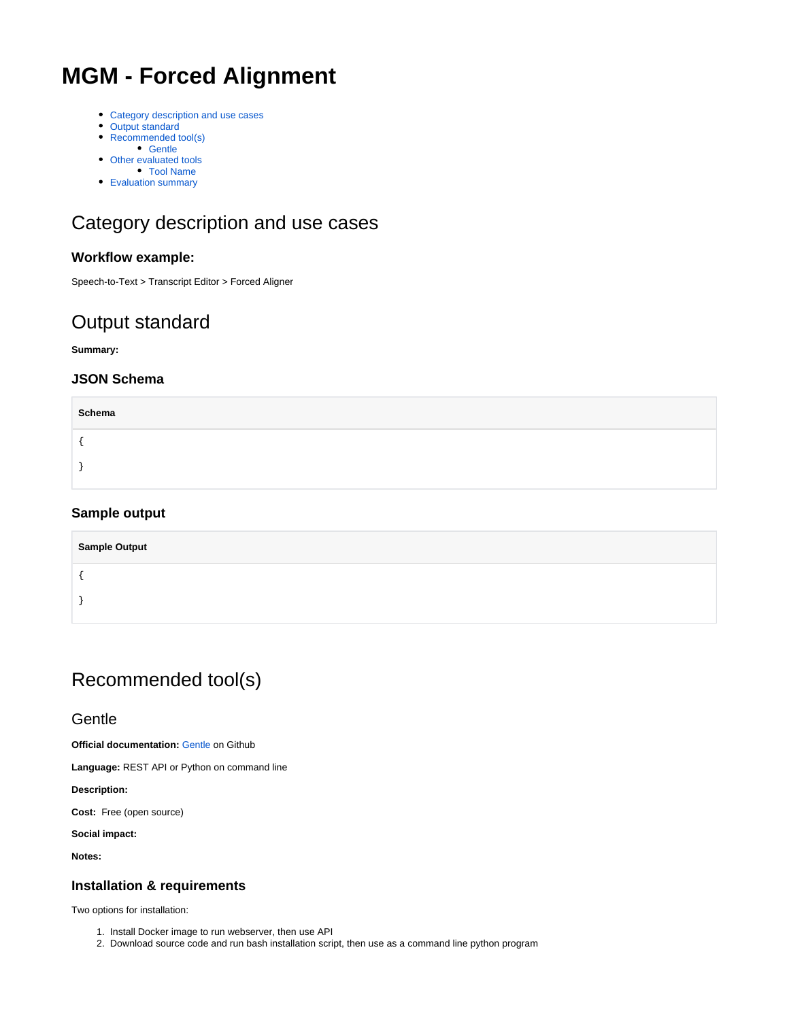# **MGM - Forced Alignment**

- [Category description and use cases](#page-0-0)
- [Output standard](#page-0-1)
- [Recommended tool\(s\)](#page-0-2) • [Gentle](#page-0-3)
- [Other evaluated tools](#page-1-0)
- [Tool Name](#page-1-1)
- [Evaluation summary](#page-2-0)

# <span id="page-0-0"></span>Category description and use cases

#### **Workflow example:**

Speech-to-Text > Transcript Editor > Forced Aligner

## <span id="page-0-1"></span>Output standard

**Summary:**

#### **JSON Schema**

| Schema |  |
|--------|--|
|        |  |
|        |  |

#### **Sample output**

| <b>Sample Output</b> |  |
|----------------------|--|
|                      |  |
|                      |  |

## <span id="page-0-2"></span>Recommended tool(s)

#### <span id="page-0-3"></span>**Gentle**

**Official documentation: [Gentle](https://github.com/lowerquality/gentle) on Github** 

**Language:** REST API or Python on command line

**Description:** 

**Cost:** Free (open source)

**Social impact:**

**Notes:**

#### **Installation & requirements**

Two options for installation:

- 1. Install Docker image to run webserver, then use API
- 2. Download source code and run bash installation script, then use as a command line python program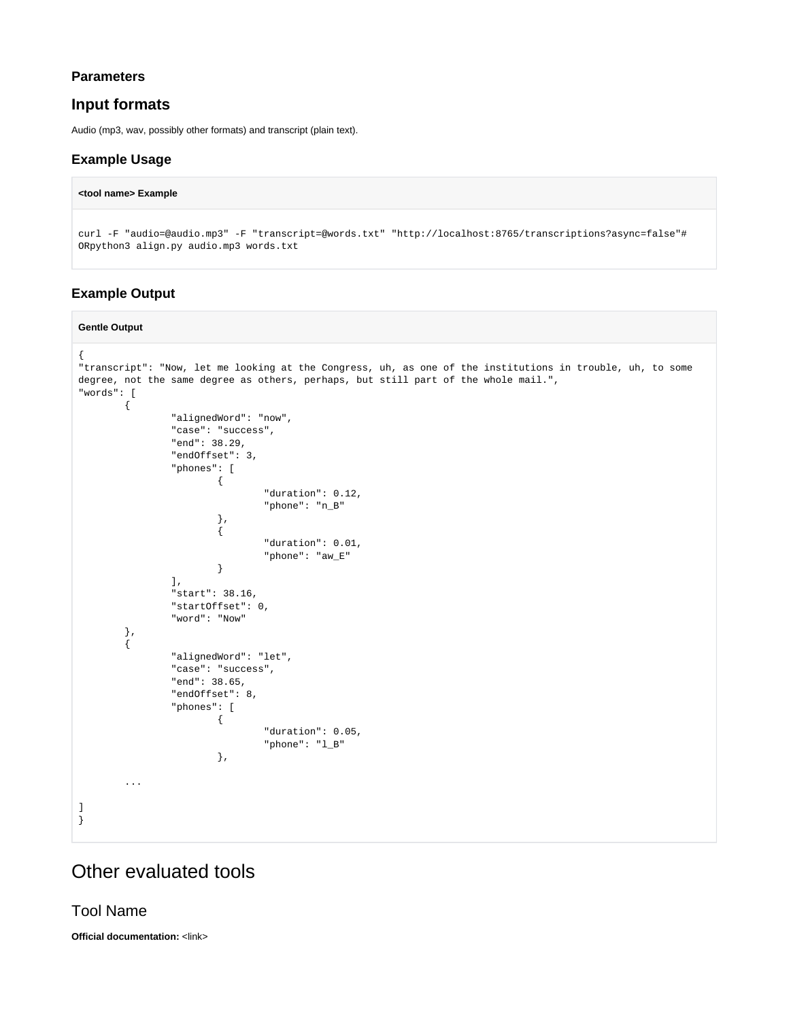#### **Parameters**

#### **Input formats**

Audio (mp3, wav, possibly other formats) and transcript (plain text).

#### **Example Usage**

#### **<tool name> Example**

curl -F "audio=@audio.mp3" -F "transcript=@words.txt" "http://localhost:8765/transcriptions?async=false"# ORpython3 align.py audio.mp3 words.txt

#### **Example Output**

#### **Gentle Output** { "transcript": "Now, let me looking at the Congress, uh, as one of the institutions in trouble, uh, to some degree, not the same degree as others, perhaps, but still part of the whole mail.", "words": [ { "alignedWord": "now", "case": "success", "end": 38.29, "endOffset": 3, "phones": [  $\{$  "duration": 0.12, "phone": "n\_B" , where  $\{ \}$  , we have the set of  $\{ \}$  ,  $\{$  "duration": 0.01, "phone": "aw\_E" } ], "start": 38.16, "startOffset": 0, "word": "Now" }, { "alignedWord": "let", "case": "success", "end": 38.65, "endOffset": 8, "phones": [  $\{$  "duration": 0.05, "phone": "l\_B" , where  $\{ \}$  , we have the set of  $\{ \}$  , ... ]

### <span id="page-1-0"></span>Other evaluated tools

<span id="page-1-1"></span>Tool Name

}

**Official documentation:** <link>